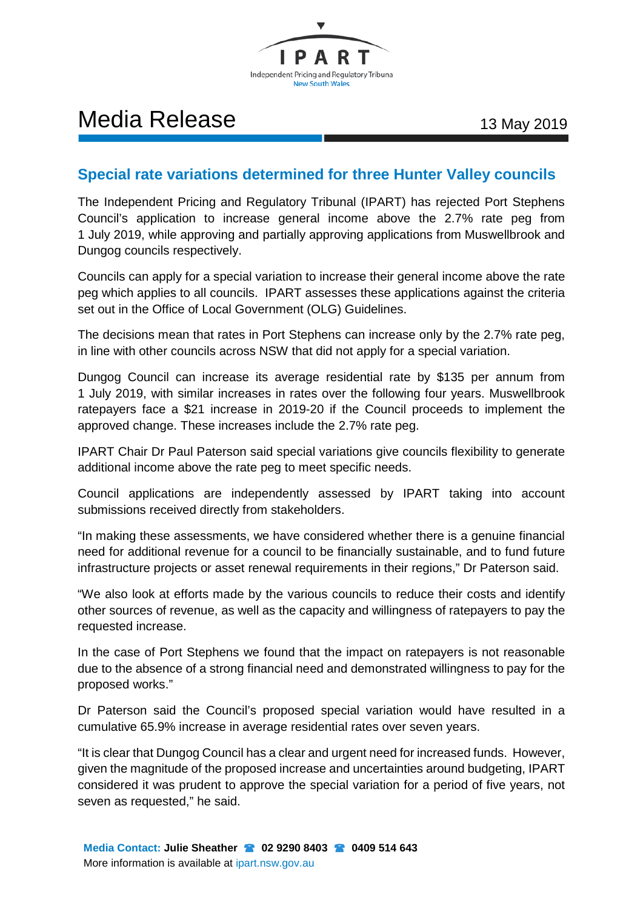

# Media Release 13 May 2019

## **Special rate variations determined for three Hunter Valley councils**

The Independent Pricing and Regulatory Tribunal (IPART) has rejected Port Stephens Council's application to increase general income above the 2.7% rate peg from 1 July 2019, while approving and partially approving applications from Muswellbrook and Dungog councils respectively.

Councils can apply for a special variation to increase their general income above the rate peg which applies to all councils. IPART assesses these applications against the criteria set out in the Office of Local Government (OLG) Guidelines.

The decisions mean that rates in Port Stephens can increase only by the 2.7% rate peg, in line with other councils across NSW that did not apply for a special variation.

Dungog Council can increase its average residential rate by \$135 per annum from 1 July 2019, with similar increases in rates over the following four years. Muswellbrook ratepayers face a \$21 increase in 2019-20 if the Council proceeds to implement the approved change. These increases include the 2.7% rate peg.

IPART Chair Dr Paul Paterson said special variations give councils flexibility to generate additional income above the rate peg to meet specific needs.

Council applications are independently assessed by IPART taking into account submissions received directly from stakeholders.

"In making these assessments, we have considered whether there is a genuine financial need for additional revenue for a council to be financially sustainable, and to fund future infrastructure projects or asset renewal requirements in their regions," Dr Paterson said.

"We also look at efforts made by the various councils to reduce their costs and identify other sources of revenue, as well as the capacity and willingness of ratepayers to pay the requested increase.

In the case of Port Stephens we found that the impact on ratepayers is not reasonable due to the absence of a strong financial need and demonstrated willingness to pay for the proposed works."

Dr Paterson said the Council's proposed special variation would have resulted in a cumulative 65.9% increase in average residential rates over seven years.

"It is clear that Dungog Council has a clear and urgent need for increased funds. However, given the magnitude of the proposed increase and uncertainties around budgeting, IPART considered it was prudent to approve the special variation for a period of five years, not seven as requested," he said.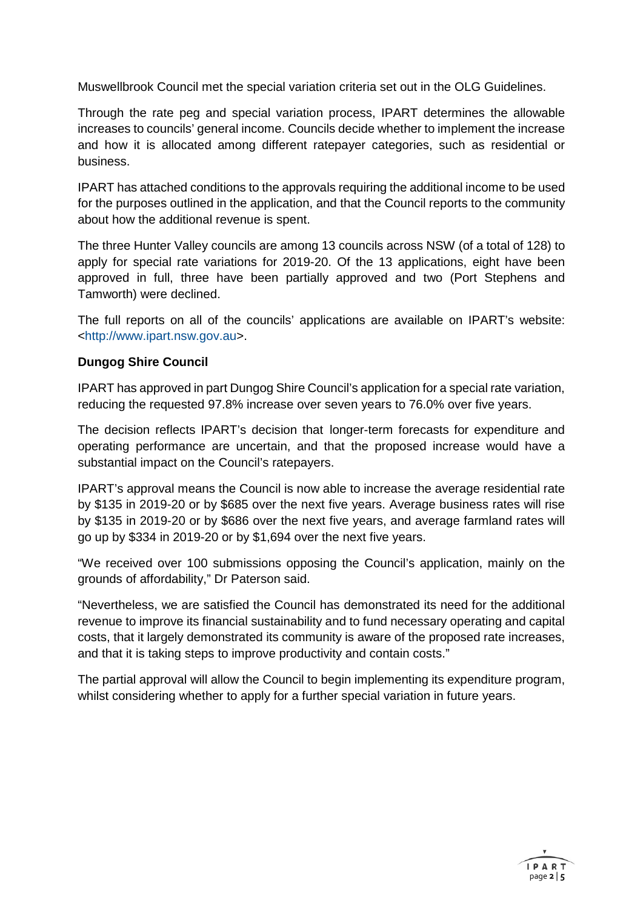Muswellbrook Council met the special variation criteria set out in the OLG Guidelines.

Through the rate peg and special variation process, IPART determines the allowable increases to councils' general income. Councils decide whether to implement the increase and how it is allocated among different ratepayer categories, such as residential or business.

IPART has attached conditions to the approvals requiring the additional income to be used for the purposes outlined in the application, and that the Council reports to the community about how the additional revenue is spent.

The three Hunter Valley councils are among 13 councils across NSW (of a total of 128) to apply for special rate variations for 2019-20. Of the 13 applications, eight have been approved in full, three have been partially approved and two (Port Stephens and Tamworth) were declined.

The full reports on all of the councils' applications are available on IPART's website: [<http://www.ipart.nsw.gov.au>](http://www.ipart.nsw.gov.au/).

### **Dungog Shire Council**

IPART has approved in part Dungog Shire Council's application for a special rate variation, reducing the requested 97.8% increase over seven years to 76.0% over five years.

The decision reflects IPART's decision that longer-term forecasts for expenditure and operating performance are uncertain, and that the proposed increase would have a substantial impact on the Council's ratepayers.

IPART's approval means the Council is now able to increase the average residential rate by \$135 in 2019-20 or by \$685 over the next five years. Average business rates will rise by \$135 in 2019-20 or by \$686 over the next five years, and average farmland rates will go up by \$334 in 2019-20 or by \$1,694 over the next five years.

"We received over 100 submissions opposing the Council's application, mainly on the grounds of affordability," Dr Paterson said.

"Nevertheless, we are satisfied the Council has demonstrated its need for the additional revenue to improve its financial sustainability and to fund necessary operating and capital costs, that it largely demonstrated its community is aware of the proposed rate increases, and that it is taking steps to improve productivity and contain costs."

The partial approval will allow the Council to begin implementing its expenditure program, whilst considering whether to apply for a further special variation in future years.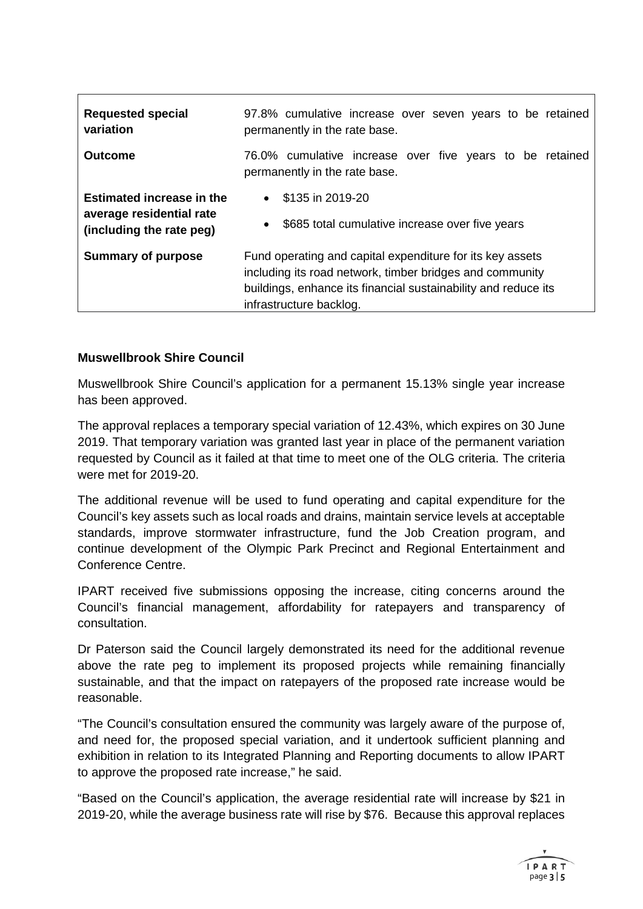| <b>Requested special</b><br>variation                        | 97.8% cumulative increase over seven years to be retained<br>permanently in the rate base.                            |
|--------------------------------------------------------------|-----------------------------------------------------------------------------------------------------------------------|
| Outcome                                                      | 76.0% cumulative increase over five years to be retained<br>permanently in the rate base.                             |
| <b>Estimated increase in the</b><br>average residential rate | $\bullet$ \$135 in 2019-20                                                                                            |
| (including the rate peg)                                     | \$685 total cumulative increase over five years<br>$\bullet$                                                          |
| <b>Summary of purpose</b>                                    | Fund operating and capital expenditure for its key assets<br>including its road network, timber bridges and community |
|                                                              |                                                                                                                       |
|                                                              | buildings, enhance its financial sustainability and reduce its                                                        |
|                                                              | infrastructure backlog.                                                                                               |

### **Muswellbrook Shire Council**

Muswellbrook Shire Council's application for a permanent 15.13% single year increase has been approved.

The approval replaces a temporary special variation of 12.43%, which expires on 30 June 2019. That temporary variation was granted last year in place of the permanent variation requested by Council as it failed at that time to meet one of the OLG criteria. The criteria were met for 2019-20.

The additional revenue will be used to fund operating and capital expenditure for the Council's key assets such as local roads and drains, maintain service levels at acceptable standards, improve stormwater infrastructure, fund the Job Creation program, and continue development of the Olympic Park Precinct and Regional Entertainment and Conference Centre.

IPART received five submissions opposing the increase, citing concerns around the Council's financial management, affordability for ratepayers and transparency of consultation.

Dr Paterson said the Council largely demonstrated its need for the additional revenue above the rate peg to implement its proposed projects while remaining financially sustainable, and that the impact on ratepayers of the proposed rate increase would be reasonable.

"The Council's consultation ensured the community was largely aware of the purpose of, and need for, the proposed special variation, and it undertook sufficient planning and exhibition in relation to its Integrated Planning and Reporting documents to allow IPART to approve the proposed rate increase," he said.

"Based on the Council's application, the average residential rate will increase by \$21 in 2019-20, while the average business rate will rise by \$76. Because this approval replaces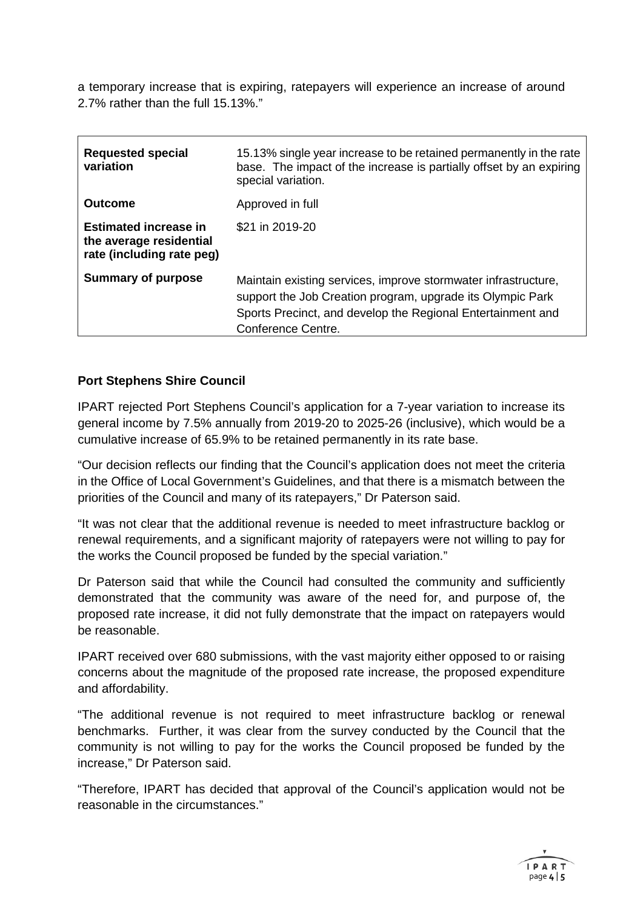a temporary increase that is expiring, ratepayers will experience an increase of around 2.7% rather than the full 15.13%."

| <b>Requested special</b><br>variation                                                | 15.13% single year increase to be retained permanently in the rate<br>base. The impact of the increase is partially offset by an expiring<br>special variation.                                                   |
|--------------------------------------------------------------------------------------|-------------------------------------------------------------------------------------------------------------------------------------------------------------------------------------------------------------------|
| <b>Outcome</b>                                                                       | Approved in full                                                                                                                                                                                                  |
| <b>Estimated increase in</b><br>the average residential<br>rate (including rate peg) | \$21 in 2019-20                                                                                                                                                                                                   |
| <b>Summary of purpose</b>                                                            | Maintain existing services, improve stormwater infrastructure,<br>support the Job Creation program, upgrade its Olympic Park<br>Sports Precinct, and develop the Regional Entertainment and<br>Conference Centre. |

### **Port Stephens Shire Council**

IPART rejected Port Stephens Council's application for a 7-year variation to increase its general income by 7.5% annually from 2019-20 to 2025-26 (inclusive), which would be a cumulative increase of 65.9% to be retained permanently in its rate base.

"Our decision reflects our finding that the Council's application does not meet the criteria in the Office of Local Government's Guidelines, and that there is a mismatch between the priorities of the Council and many of its ratepayers," Dr Paterson said.

"It was not clear that the additional revenue is needed to meet infrastructure backlog or renewal requirements, and a significant majority of ratepayers were not willing to pay for the works the Council proposed be funded by the special variation."

Dr Paterson said that while the Council had consulted the community and sufficiently demonstrated that the community was aware of the need for, and purpose of, the proposed rate increase, it did not fully demonstrate that the impact on ratepayers would be reasonable.

IPART received over 680 submissions, with the vast majority either opposed to or raising concerns about the magnitude of the proposed rate increase, the proposed expenditure and affordability.

"The additional revenue is not required to meet infrastructure backlog or renewal benchmarks. Further, it was clear from the survey conducted by the Council that the community is not willing to pay for the works the Council proposed be funded by the increase," Dr Paterson said.

"Therefore, IPART has decided that approval of the Council's application would not be reasonable in the circumstances."